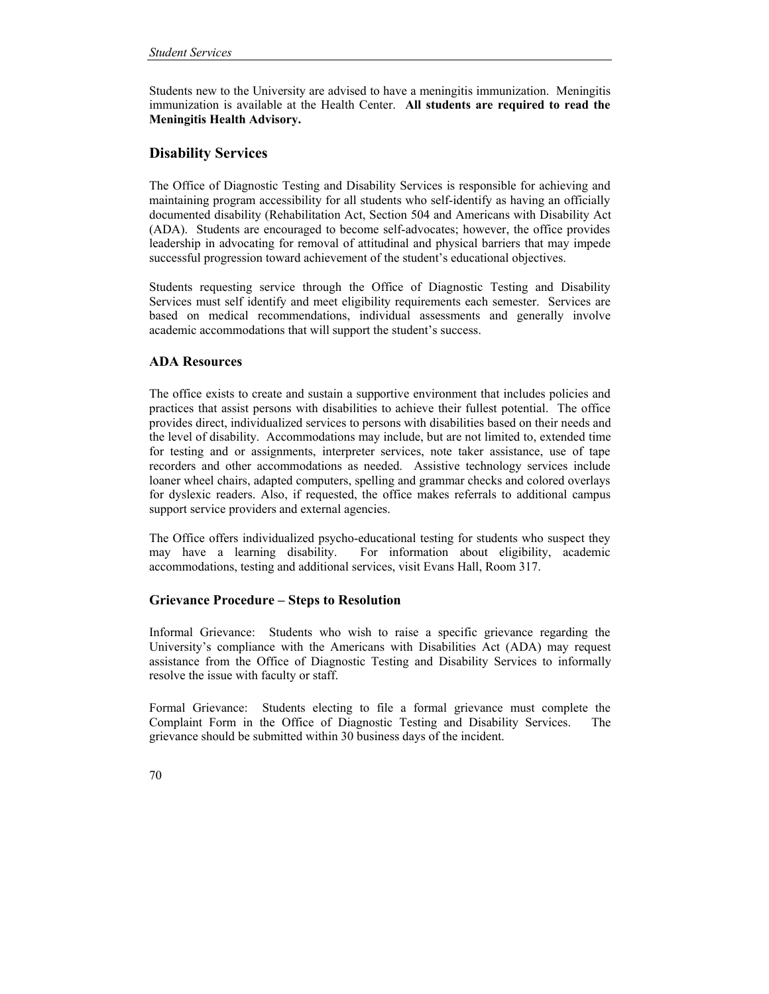Students new to the University are advised to have a meningitis immunization. Meningitis immunization is available at the Health Center. **All students are required to read the Meningitis Health Advisory.** 

# **Disability Services**

The Office of Diagnostic Testing and Disability Services is responsible for achieving and maintaining program accessibility for all students who self-identify as having an officially documented disability (Rehabilitation Act, Section 504 and Americans with Disability Act (ADA). Students are encouraged to become self-advocates; however, the office provides leadership in advocating for removal of attitudinal and physical barriers that may impede successful progression toward achievement of the student's educational objectives.

Students requesting service through the Office of Diagnostic Testing and Disability Services must self identify and meet eligibility requirements each semester. Services are based on medical recommendations, individual assessments and generally involve academic accommodations that will support the student's success.

## **ADA Resources**

The office exists to create and sustain a supportive environment that includes policies and practices that assist persons with disabilities to achieve their fullest potential. The office provides direct, individualized services to persons with disabilities based on their needs and the level of disability. Accommodations may include, but are not limited to, extended time for testing and or assignments, interpreter services, note taker assistance, use of tape recorders and other accommodations as needed. Assistive technology services include loaner wheel chairs, adapted computers, spelling and grammar checks and colored overlays for dyslexic readers. Also, if requested, the office makes referrals to additional campus support service providers and external agencies.

The Office offers individualized psycho-educational testing for students who suspect they may have a learning disability. For information about eligibility, academic accommodations, testing and additional services, visit Evans Hall, Room 317.

### **Grievance Procedure – Steps to Resolution**

Informal Grievance: Students who wish to raise a specific grievance regarding the University's compliance with the Americans with Disabilities Act (ADA) may request assistance from the Office of Diagnostic Testing and Disability Services to informally resolve the issue with faculty or staff.

Formal Grievance: Students electing to file a formal grievance must complete the Complaint Form in the Office of Diagnostic Testing and Disability Services. The grievance should be submitted within 30 business days of the incident.

70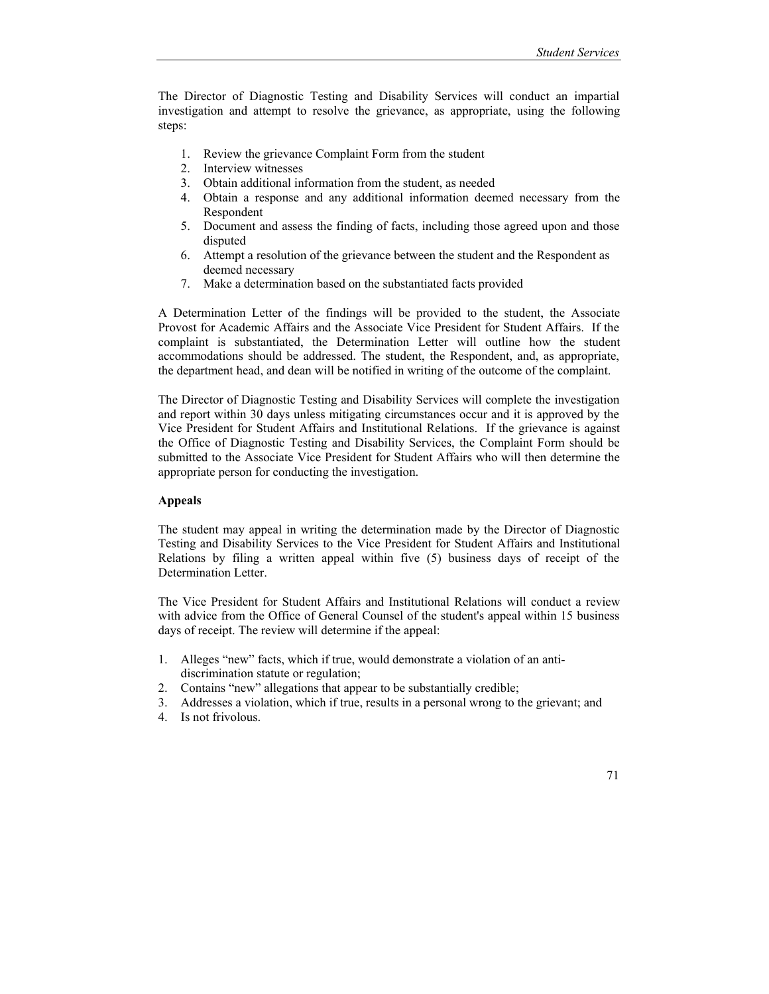The Director of Diagnostic Testing and Disability Services will conduct an impartial investigation and attempt to resolve the grievance, as appropriate, using the following steps:

- 1. Review the grievance Complaint Form from the student
- 2. Interview witnesses
- 3. Obtain additional information from the student, as needed
- 4. Obtain a response and any additional information deemed necessary from the Respondent
- 5. Document and assess the finding of facts, including those agreed upon and those disputed
- 6. Attempt a resolution of the grievance between the student and the Respondent as deemed necessary
- 7. Make a determination based on the substantiated facts provided

A Determination Letter of the findings will be provided to the student, the Associate Provost for Academic Affairs and the Associate Vice President for Student Affairs. If the complaint is substantiated, the Determination Letter will outline how the student accommodations should be addressed. The student, the Respondent, and, as appropriate, the department head, and dean will be notified in writing of the outcome of the complaint.

The Director of Diagnostic Testing and Disability Services will complete the investigation and report within 30 days unless mitigating circumstances occur and it is approved by the Vice President for Student Affairs and Institutional Relations. If the grievance is against the Office of Diagnostic Testing and Disability Services, the Complaint Form should be submitted to the Associate Vice President for Student Affairs who will then determine the appropriate person for conducting the investigation.

#### **Appeals**

The student may appeal in writing the determination made by the Director of Diagnostic Testing and Disability Services to the Vice President for Student Affairs and Institutional Relations by filing a written appeal within five (5) business days of receipt of the Determination Letter.

The Vice President for Student Affairs and Institutional Relations will conduct a review with advice from the Office of General Counsel of the student's appeal within 15 business days of receipt. The review will determine if the appeal:

- 1. Alleges "new" facts, which if true, would demonstrate a violation of an antidiscrimination statute or regulation;
- 2. Contains "new" allegations that appear to be substantially credible;
- 3. Addresses a violation, which if true, results in a personal wrong to the grievant; and
- 4. Is not frivolous.